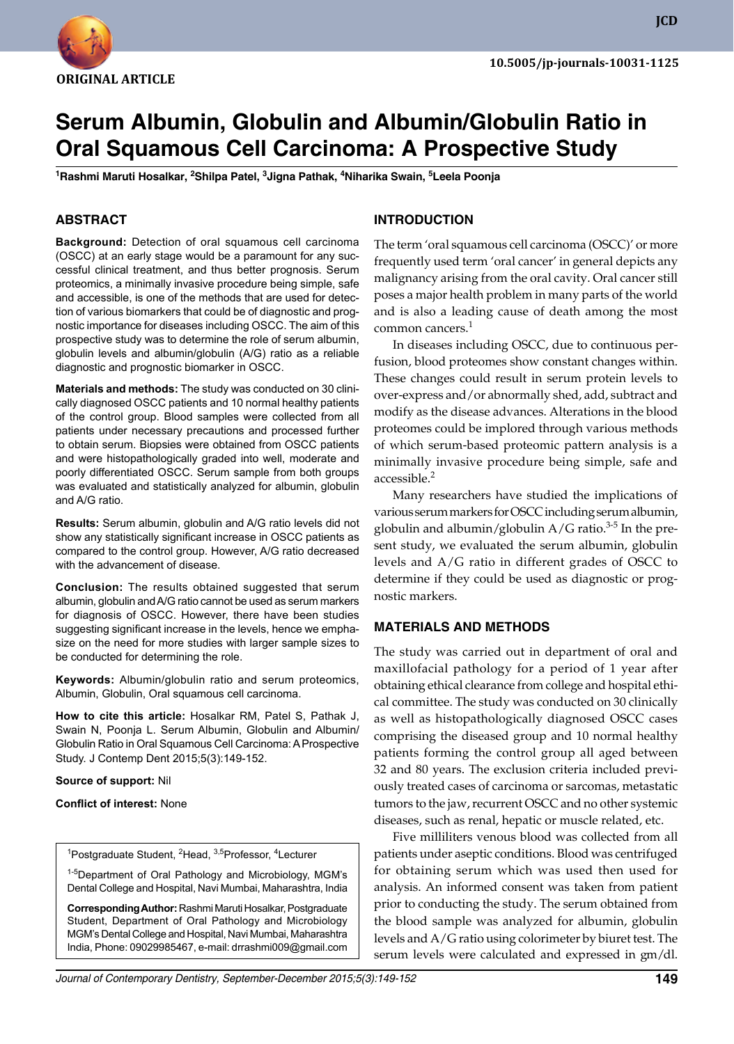

**JCD**

# **Serum Albumin, Globulin and Albumin/Globulin Ratio in Oral Squamous Cell Carcinoma: A Prospective Study**

<sup>1</sup>Rashmi Maruti Hosalkar, <sup>2</sup>Shilpa Patel, <sup>3</sup>Jigna Pathak, <sup>4</sup>Niharika Swain, <sup>5</sup>Leela Poonja

# **ABSTRACT**

**Background:** Detection of oral squamous cell carcinoma (OSCC) at an early stage would be a paramount for any successful clinical treatment, and thus better prognosis. Serum proteomics, a minimally invasive procedure being simple, safe and accessible, is one of the methods that are used for detection of various biomarkers that could be of diagnostic and prognostic importance for diseases including OSCC. The aim of this prospective study was to determine the role of serum albumin, globulin levels and albumin/globulin (A/G) ratio as a reliable diagnostic and prognostic biomarker in OSCC.

**Materials and methods:** The study was conducted on 30 clinically diagnosed OSCC patients and 10 normal healthy patients of the control group. Blood samples were collected from all patients under necessary precautions and processed further to obtain serum. Biopsies were obtained from OSCC patients and were histopathologically graded into well, moderate and poorly differentiated OSCC. Serum sample from both groups was evaluated and statistically analyzed for albumin, globulin and A/G ratio.

**Results:** Serum albumin, globulin and A/G ratio levels did not show any statistically significant increase in OSCC patients as compared to the control group. However, A/G ratio decreased with the advancement of disease.

**Conclusion:** The results obtained suggested that serum albumin, globulin and A/G ratio cannot be used as serum markers for diagnosis of OSCC. However, there have been studies suggesting significant increase in the levels, hence we emphasize on the need for more studies with larger sample sizes to be conducted for determining the role.

**Keywords:** Albumin/globulin ratio and serum proteomics, Albumin, Globulin, Oral squamous cell carcinoma.

**How to cite this article:** Hosalkar RM, Patel S, Pathak J, Swain N, Poonja L. Serum Albumin, Globulin and Albumin/ Globulin Ratio in Oral Squamous Cell Carcinoma: A Prospective Study. J Contemp Dent 2015;5(3):149-152.

**Source of support:** Nil

**Conflict of interest:** None

<sup>1</sup>Postgraduate Student, <sup>2</sup>Head, <sup>3,5</sup>Professor, <sup>4</sup>Lecturer

<sup>1-5</sup>Department of Oral Pathology and Microbiology, MGM's Dental College and Hospital, Navi Mumbai, Maharashtra, India

**Corresponding Author:** Rashmi Maruti Hosalkar, Postgraduate Student, Department of Oral Pathology and Microbiology MGM's Dental College and Hospital, Navi Mumbai, Maharashtra India, Phone: 09029985467, e-mail: drrashmi009@gmail.com

## **Introduction**

The term 'oral squamous cell carcinoma (OSCC)' or more frequently used term 'oral cancer' in general depicts any malignancy arising from the oral cavity. Oral cancer still poses a major health problem in many parts of the world and is also a leading cause of death among the most common cancers.<sup>1</sup>

In diseases including OSCC, due to continuous perfusion, blood proteomes show constant changes within. These changes could result in serum protein levels to over-express and/or abnormally shed, add, subtract and modify as the disease advances. Alterations in the blood proteomes could be implored through various methods of which serum-based proteomic pattern analysis is a minimally invasive procedure being simple, safe and accessible.<sup>2</sup>

Many researchers have studied the implications of various serum markers for OSCC including serum albumin, globulin and albumin/globulin  $A/G$  ratio.<sup>3-5</sup> In the present study, we evaluated the serum albumin, globulin levels and A/G ratio in different grades of OSCC to determine if they could be used as diagnostic or prognostic markers.

#### **MATERIALs AND METHODS**

The study was carried out in department of oral and maxillofacial pathology for a period of 1 year after obtaining ethical clearance from college and hospital ethical committee. The study was conducted on 30 clinically as well as histopathologically diagnosed OSCC cases comprising the diseased group and 10 normal healthy patients forming the control group all aged between 32 and 80 years. The exclusion criteria included previously treated cases of carcinoma or sarcomas, metastatic tumors to the jaw, recurrent OSCC and no other systemic diseases, such as renal, hepatic or muscle related, etc.

Five milliliters venous blood was collected from all patients under aseptic conditions. Blood was centrifuged for obtaining serum which was used then used for analysis. An informed consent was taken from patient prior to conducting the study. The serum obtained from the blood sample was analyzed for albumin, globulin levels and A/G ratio using colorimeter by biuret test. The serum levels were calculated and expressed in gm/dl.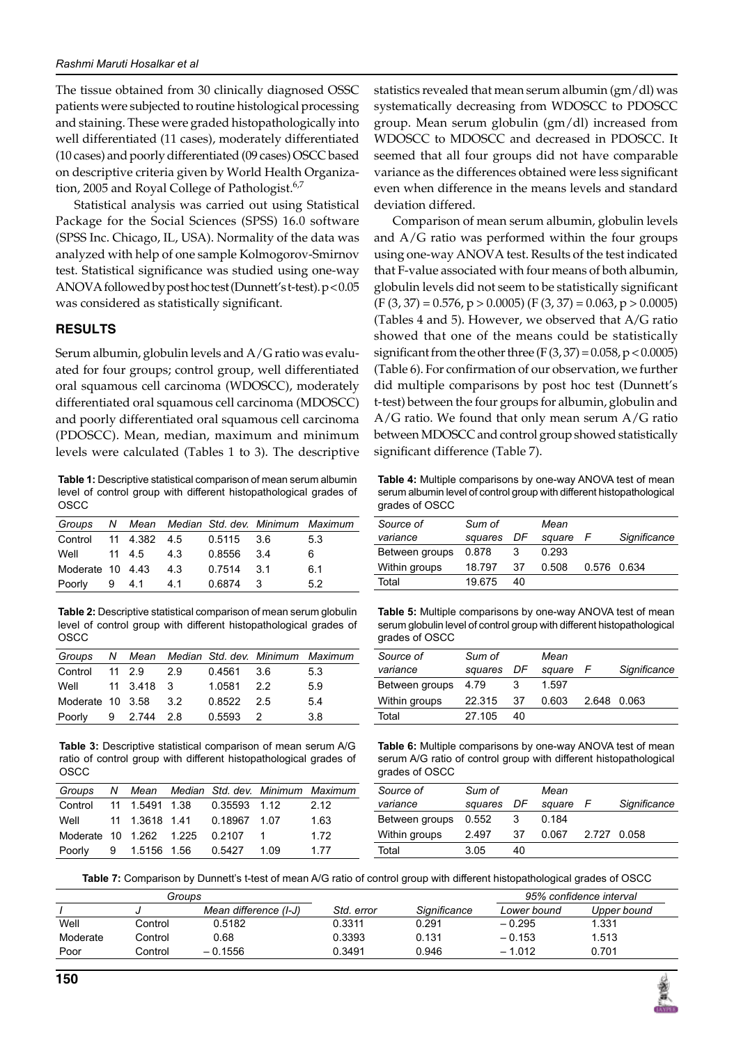The tissue obtained from 30 clinically diagnosed OSSC patients were subjected to routine histological processing and staining. These were graded histopathologically into well differentiated (11 cases), moderately differentiated (10 cases) and poorly differentiated (09 cases) OSCC based on descriptive criteria given by World Health Organization, 2005 and Royal College of Pathologist.<sup>6,7</sup>

Statistical analysis was carried out using Statistical Package for the Social Sciences (SPSS) 16.0 software (SPSS Inc. Chicago, IL, USA). Normality of the data was analyzed with help of one sample Kolmogorov-Smirnov test. Statistical significance was studied using one-way ANOVA followed by post hoc test (Dunnett's t-test). p<0.05 was considered as statistically significant.

## **RESULTS**

Serum albumin, globulin levels and A/G ratio was evaluated for four groups; control group, well differentiated oral squamous cell carcinoma (WDOSCC), moderately differentiated oral squamous cell carcinoma (MDOSCC) and poorly differentiated oral squamous cell carcinoma (PDOSCC). Mean, median, maximum and minimum levels were calculated (Tables 1 to 3). The descriptive

**Table 1:** Descriptive statistical comparison of mean serum albumin level of control group with different histopathological grades of OSCC

|                                 |        |     |              | Groups N Mean Median Std. dev. Minimum Maximum |     |
|---------------------------------|--------|-----|--------------|------------------------------------------------|-----|
| Control 11 4.382 4.5 0.5115 3.6 |        |     |              |                                                | 5.3 |
| Well                            | 11 4.5 | 4.3 | 0.8556 3.4   |                                                | 6   |
| Moderate 10 4.43                |        | 4.3 | $0.7514$ 3.1 |                                                | 6.1 |
| Poorly                          |        |     | 0.6874       | - 3                                            | 5.2 |

**Table 2:** Descriptive statistical comparison of mean serum globulin level of control group with different histopathological grades of OSCC

|                               |  |              | Groups N Mean Median Std. dev. Minimum Maximum |
|-------------------------------|--|--------------|------------------------------------------------|
| Control 11 2.9 2.9 0.4561 3.6 |  |              | 5.3                                            |
| Well 11 3.418 3 1.0581 2.2    |  |              | 5.9                                            |
| Moderate 10 3.58 3.2          |  | $0.8522$ 2.5 | 5.4                                            |
| Poorly 9 2.744 2.8 0.5593 2   |  |              | 3.8                                            |

**Table 3:** Descriptive statistical comparison of mean serum A/G ratio of control group with different histopathological grades of OSCC

|                                     |  |                               | Groups N Mean Median Std. dev. Minimum Maximum |
|-------------------------------------|--|-------------------------------|------------------------------------------------|
| Control 11 1.5491 1.38 0.35593 1.12 |  |                               | 2.12                                           |
| Well 11 1.3618 1.41 0.18967 1.07    |  |                               | 1.63                                           |
| Moderate 10 1.262 1.225 0.2107 1    |  |                               | 1.72                                           |
| Poorly                              |  | 9  1.5156  1.56  0.5427  1.09 | 1.77                                           |

statistics revealed that mean serum albumin (gm/dl) was systematically decreasing from WDOSCC to PDOSCC group. Mean serum globulin (gm/dl) increased from WDOSCC to MDOSCC and decreased in PDOSCC. It seemed that all four groups did not have comparable variance as the differences obtained were less significant even when difference in the means levels and standard deviation differed.

Comparison of mean serum albumin, globulin levels and A/G ratio was performed within the four groups using one-way ANOVA test. Results of the test indicated that F-value associated with four means of both albumin, globulin levels did not seem to be statistically significant  $(F (3, 37) = 0.576, p > 0.0005) (F (3, 37) = 0.063, p > 0.0005)$ (Tables 4 and 5). However, we observed that A/G ratio showed that one of the means could be statistically significant from the other three  $(F(3, 37) = 0.058, p < 0.0005)$ (Table 6). For confirmation of our observation, we further did multiple comparisons by post hoc test (Dunnett's t-test) between the four groups for albumin, globulin and A/G ratio. We found that only mean serum A/G ratio between MDOSCC and control group showed statistically significant difference (Table 7).

**Table 4:** Multiple comparisons by one-way ANOVA test of mean serum albumin level of control group with different histopathological grades of OSCC

| Source of      | Sum of  |    | Mean   |   |              |
|----------------|---------|----|--------|---|--------------|
| variance       | squares | DF | square | F | Significance |
| Between groups | 0.878   | 3  | 0.293  |   |              |
| Within groups  | 18.797  | 37 | 0.508  |   | 0.576 0.634  |
| Total          | 19.675  | 40 |        |   |              |
|                |         |    |        |   |              |

**Table 5:** Multiple comparisons by one-way ANOVA test of mean serum globulin level of control group with different histopathological grades of OSCC

| Source of      | Sum of     |    | Mean   |   |              |
|----------------|------------|----|--------|---|--------------|
| variance       | squares DF |    | square | F | Significance |
| Between groups | 4.79       |    | 1.597  |   |              |
| Within groups  | 22.315     | 37 | 0.603  |   | 2.648 0.063  |
| Total          | 27.105     | 40 |        |   |              |

**Table 6:** Multiple comparisons by one-way ANOVA test of mean serum A/G ratio of control group with different histopathological grades of OSCC

| Source of      | Sum of     |    | Mean   |             |              |
|----------------|------------|----|--------|-------------|--------------|
| variance       | squares DF |    | square | F           | Significance |
| Between groups | 0.552      |    | 0.184  |             |              |
| Within groups  | 2497       | 37 | 0.067  | 2.727 0.058 |              |
| Total          | 3.05       | 40 |        |             |              |

**Table 7:** Comparison by Dunnett's t-test of mean A/G ratio of control group with different histopathological grades of OSCC

| Groups   |         |                       |            |              | 95% confidence interval |             |  |
|----------|---------|-----------------------|------------|--------------|-------------------------|-------------|--|
|          |         | Mean difference (I-J) | Std. error | Significance | Lower bound             | Upper bound |  |
| Well     | Control | 0.5182                | 0.3311     | 0.291        | $-0.295$                | 1.331       |  |
| Moderate | Control | 0.68                  | 0.3393     | 0.131        | $-0.153$                | 1.513       |  |
| Poor     | Control | $-0.1556$             | 0.3491     | 0.946        | $-1.012$                | 0.701       |  |
|          |         |                       |            |              |                         |             |  |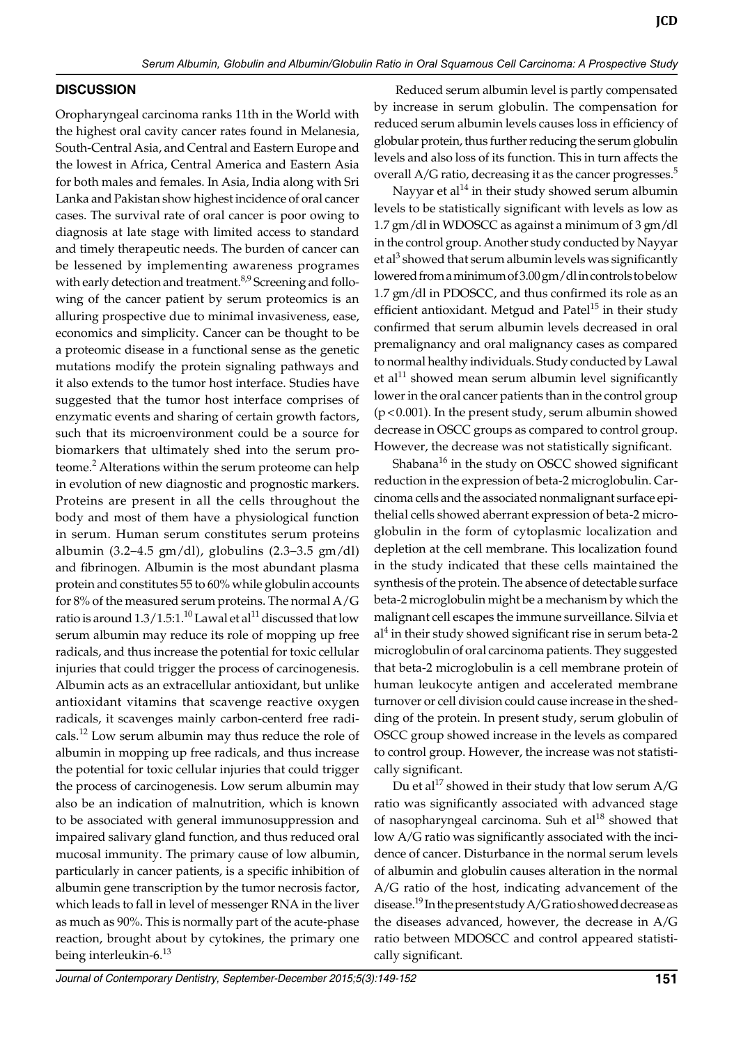## **DISCUSSION**

Oropharyngeal carcinoma ranks 11th in the world with the highest oral cavity cancer rates found in Melanesia, South-Central Asia, and Central and Eastern Europe and the lowest in Africa, Central America and Eastern Asia for both males and females. In Asia, India along with Sri Lanka and Pakistan show highest incidence of oral cancer cases. The survival rate of oral cancer is poor owing to diagnosis at late stage with limited access to standard and timely therapeutic needs. The burden of cancer can be lessened by implementing awareness programes with early detection and treatment.<sup>8,9</sup> Screening and following of the cancer patient by serum proteomics is an alluring prospective due to minimal invasiveness, ease, economics and simplicity. Cancer can be thought to be a proteomic disease in a functional sense as the genetic mutations modify the protein signaling pathways and it also extends to the tumor host interface. Studies have suggested that the tumor host interface comprises of enzymatic events and sharing of certain growth factors, such that its microenvironment could be a source for biomarkers that ultimately shed into the serum proteome.<sup>2</sup> Alterations within the serum proteome can help in evolution of new diagnostic and prognostic markers. Proteins are present in all the cells throughout the body and most of them have a physiological function in serum. Human serum constitutes serum proteins albumin (3.2–4.5 gm/dl), globulins (2.3–3.5 gm/dl) and fibrinogen. Albumin is the most abundant plasma protein and constitutes 55 to 60% while globulin accounts for 8% of the measured serum proteins. The normal A/G ratio is around  $1.3/1.5:1.^{10}$  Lawal et al<sup>11</sup> discussed that low serum albumin may reduce its role of mopping up free radicals, and thus increase the potential for toxic cellular injuries that could trigger the process of carcinogenesis. Albumin acts as an extracellular antioxidant, but unlike antioxidant vitamins that scavenge reactive oxygen radicals, it scavenges mainly carbon-centerd free radicals.12 Low serum albumin may thus reduce the role of albumin in mopping up free radicals, and thus increase the potential for toxic cellular injuries that could trigger the process of carcinogenesis. Low serum albumin may also be an indication of malnutrition, which is known to be associated with general immunosuppression and impaired salivary gland function, and thus reduced oral mucosal immunity. The primary cause of low albumin, particularly in cancer patients, is a specific inhibition of albumin gene transcription by the tumor necrosis factor, which leads to fall in level of messenger RNA in the liver as much as 90%. This is normally part of the acute-phase reaction, brought about by cytokines, the primary one being interleukin-6.<sup>13</sup>

 Reduced serum albumin level is partly compensated by increase in serum globulin. The compensation for reduced serum albumin levels causes loss in efficiency of globular protein, thus further reducing the serum globulin levels and also loss of its function. This in turn affects the overall A/G ratio, decreasing it as the cancer progresses.<sup>5</sup>

Nayyar et  $al^{14}$  in their study showed serum albumin levels to be statistically significant with levels as low as 1.7 gm/dl in WDOSCC as against a minimum of 3 gm/dl in the control group. Another study conducted by Nayyar et al<sup>3</sup> showed that serum albumin levels was significantly lowered from a minimum of 3.00 gm/dl in controls to below 1.7 gm/dl in PDOSCC, and thus confirmed its role as an efficient antioxidant. Metgud and Patel $15$  in their study confirmed that serum albumin levels decreased in oral premalignancy and oral malignancy cases as compared to normal healthy individuals. Study conducted by Lawal et al<sup>11</sup> showed mean serum albumin level significantly lower in the oral cancer patients than in the control group (p<0.001). In the present study, serum albumin showed decrease in OSCC groups as compared to control group. However, the decrease was not statistically significant.

Shabana $^{16}$  in the study on OSCC showed significant reduction in the expression of beta-2 microglobulin. Carcinoma cells and the associated nonmalignant surface epithelial cells showed aberrant expression of beta-2 microglobulin in the form of cytoplasmic localization and depletion at the cell membrane. This localization found in the study indicated that these cells maintained the synthesis of the protein. The absence of detectable surface beta-2 microglobulin might be a mechanism by which the malignant cell escapes the immune surveillance. Silvia et al4 in their study showed significant rise in serum beta-2 microglobulin of oral carcinoma patients. They suggested that beta-2 microglobulin is a cell membrane protein of human leukocyte antigen and accelerated membrane turnover or cell division could cause increase in the shedding of the protein. In present study, serum globulin of OSCC group showed increase in the levels as compared to control group. However, the increase was not statistically significant.

Du et al<sup>17</sup> showed in their study that low serum  $A/G$ ratio was significantly associated with advanced stage of nasopharyngeal carcinoma. Suh et al<sup>18</sup> showed that low A/G ratio was significantly associated with the incidence of cancer. Disturbance in the normal serum levels of albumin and globulin causes alteration in the normal A/G ratio of the host, indicating advancement of the disease.<sup>19</sup> In the present study A/G ratio showed decrease as the diseases advanced, however, the decrease in A/G ratio between MDOSCC and control appeared statistically significant.